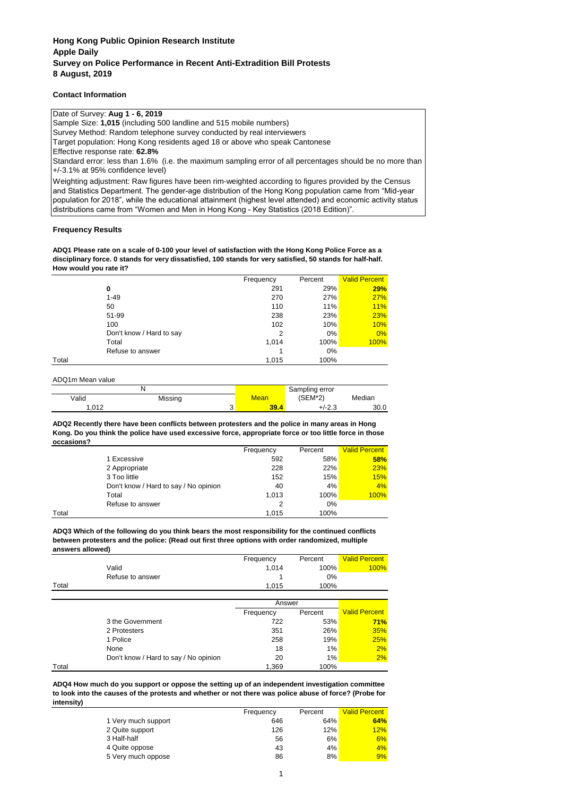### **Contact Information**

Date of Survey: **Aug 1 - 6, 2019** Sample Size: **1,015** (including 500 landline and 515 mobile numbers) Survey Method: Random telephone survey conducted by real interviewers Target population: Hong Kong residents aged 18 or above who speak Cantonese Effective response rate: **62.8%** Weighting adjustment: Raw figures have been rim-weighted according to figures provided by the Census and Statistics Department. The gender-age distribution of the Hong Kong population came from "Mid-year population for 2018", while the educational attainment (highest level attended) and economic activity status distributions came from "Women and Men in Hong Kong - Key Statistics (2018 Edition)". Standard error: less than 1.6% (i.e. the maximum sampling error of all percentages should be no more than +/-3.1% at 95% confidence level)

### **Frequency Results**

**ADQ1 Please rate on a scale of 0-100 your level of satisfaction with the Hong Kong Police Force as a disciplinary force. 0 stands for very dissatisfied, 100 stands for very satisfied, 50 stands for half-half. How would you rate it?**

|       |                          | Frequency | Percent | <b>Valid Percent</b> |
|-------|--------------------------|-----------|---------|----------------------|
|       | 0                        | 291       | 29%     | 29%                  |
|       | $1 - 49$                 | 270       | 27%     | <b>27%</b>           |
|       | 50                       | 110       | 11%     | 11%                  |
|       | 51-99                    | 238       | 23%     | 23%                  |
|       | 100                      | 102       | 10%     | 10%                  |
|       | Don't know / Hard to say | 2         | $0\%$   | 0%                   |
|       | Total                    | 1,014     | 100%    | <b>100%</b>          |
|       | Refuse to answer         |           | 0%      |                      |
| Total |                          | 1.015     | 100%    |                      |

ADQ1m Mean value

|       |         |  | Sampling error |               |        |
|-------|---------|--|----------------|---------------|--------|
| Valid | Missing |  | Mean           | (SEM*2)       | Median |
| .012  |         |  | 39.4           | 100<br>د.∠-/∸ | 30.0   |

#### **ADQ2 Recently there have been conflicts between protesters and the police in many areas in Hong Kong. Do you think the police have used excessive force, appropriate force or too little force in those occasions?**

|       |                                       | Frequency | Percent | <b>Valid Percent</b> |
|-------|---------------------------------------|-----------|---------|----------------------|
|       | 1 Excessive                           | 592       | 58%     | 58%                  |
|       | 2 Appropriate                         | 228       | 22%     | <b>23%</b>           |
|       | 3 Too little                          | 152       | 15%     | 15%                  |
|       | Don't know / Hard to say / No opinion | 40        | 4%      | 4%                   |
|       | Total                                 | 1.013     | 100%    | 100%                 |
|       | Refuse to answer                      |           | 0%      |                      |
| Total |                                       | 1.015     | 100%    |                      |

**ADQ3 Which of the following do you think bears the most responsibility for the continued conflicts between protesters and the police: (Read out first three options with order randomized, multiple answers allowed)**

|       |                  | Frequency | Percent | <b>Valid Percent</b> |
|-------|------------------|-----------|---------|----------------------|
|       | Valid            | 1.014     | 100%    | 100%                 |
|       | Refuse to answer |           | 0%      |                      |
| Total |                  | 1.015     | 100%    |                      |
|       |                  |           |         |                      |

|       |                                       | Answer    |         |                      |
|-------|---------------------------------------|-----------|---------|----------------------|
|       |                                       | Frequency | Percent | <b>Valid Percent</b> |
|       | 3 the Government                      | 722       | 53%     | 71%                  |
|       | 2 Protesters                          | 351       | 26%     | 35%                  |
|       | 1 Police                              | 258       | 19%     | 25%                  |
|       | None                                  | 18        | 1%      | 2%                   |
|       | Don't know / Hard to say / No opinion | 20        | 1%      | 2%                   |
| Total |                                       | 1.369     | 100%    |                      |

**ADQ4 How much do you support or oppose the setting up of an independent investigation committee to look into the causes of the protests and whether or not there was police abuse of force? (Probe for intensity)**

|                     | Frequency | Percent | <b>Valid Percent</b> |
|---------------------|-----------|---------|----------------------|
| 1 Very much support | 646       | 64%     | 64%                  |
| 2 Quite support     | 126       | 12%     | 12%                  |
| 3 Half-half         | 56        | 6%      | 6%                   |
| 4 Quite oppose      | 43        | 4%      | 4%                   |
| 5 Very much oppose  | 86        | 8%      | 9%                   |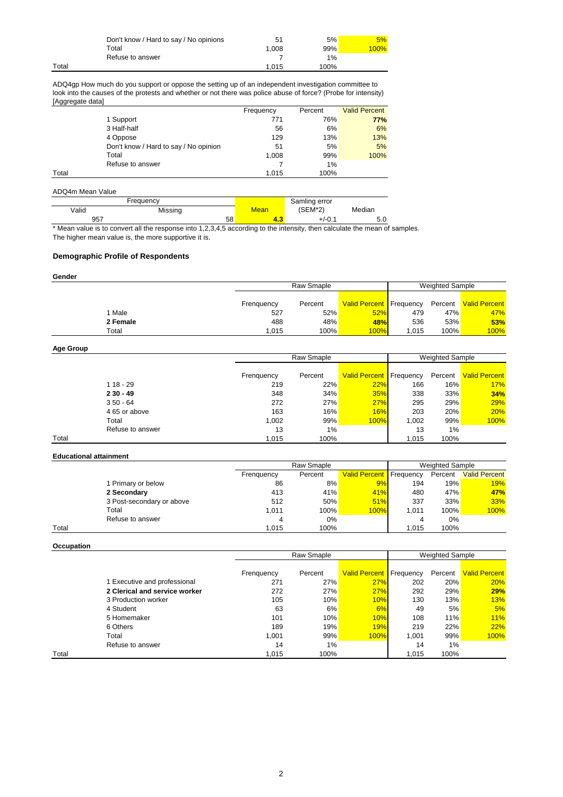|       | Don't know / Hard to say / No opinions | 51    | 5%   | 5%   |
|-------|----------------------------------------|-------|------|------|
|       | ™otal                                  | 1.008 | 99%  | 100% |
|       | Refuse to answer                       |       | 1%   |      |
| Total |                                        | 1.015 | 100% |      |

ADQ4gp How much do you support or oppose the setting up of an independent investigation committee to look into the causes of the protests and whether or not there was police abuse of force? (Probe for intensity) [Aggregate data]

| .     |                                       |           |         |                      |
|-------|---------------------------------------|-----------|---------|----------------------|
|       |                                       | Frequency | Percent | <b>Valid Percent</b> |
|       | 1 Support                             | 771       | 76%     | <b>77%</b>           |
|       | 3 Half-half                           | 56        | 6%      | 6%                   |
|       | 4 Oppose                              | 129       | 13%     | 13%                  |
|       | Don't know / Hard to say / No opinion | 51        | 5%      | 5%                   |
|       | Total                                 | 1,008     | 99%     | 100%                 |
|       | Refuse to answer                      |           | 1%      |                      |
| Total |                                       | 1.015     | 100%    |                      |

| ADQ4m Mean Value |           |    |             |               |        |
|------------------|-----------|----|-------------|---------------|--------|
|                  | Frequency |    |             | Samling error |        |
| Valid            | Missing   |    | <b>Mean</b> | $(SEM*2)$     | Median |
| 957              |           | 58 | 4.3         | $+/-0.1$      | 5.0    |

\* Mean value is to convert all the response into 1,2,3,4,5 according to the intensity, then calculate the mean of samples. The higher mean value is, the more supportive it is.

# **Demographic Profile of Respondents**

| Gender   |            |         |                                  |                        |      |                       |
|----------|------------|---------|----------------------------------|------------------------|------|-----------------------|
|          | Raw Smaple |         |                                  | <b>Weighted Sample</b> |      |                       |
|          |            |         |                                  |                        |      |                       |
|          | Frenquency | Percent | <b>Valid Percent   Frequency</b> |                        |      | Percent Valid Percent |
| 1 Male   | 527        | 52%     | 52%                              | 479                    | 47%  | 47%                   |
| 2 Female | 488        | 48%     | <b>48%</b>                       | 536                    | 53%  | 53%                   |
| Total    | 1.015      | 100%    | 100%                             | 1.015                  | 100% | 100%                  |

# **Age Group**

|       |                  |            | Raw Smaple |         |                                | <b>Weighted Sample</b> |         |                      |
|-------|------------------|------------|------------|---------|--------------------------------|------------------------|---------|----------------------|
|       |                  |            |            |         |                                |                        |         |                      |
|       |                  | Frenquency |            | Percent | <b>Valid Percent</b> Frequency |                        | Percent | <b>Valid Percent</b> |
|       | $118 - 29$       |            | 219        | 22%     | 22%                            | 166                    | 16%     | 17%                  |
|       | $230 - 49$       |            | 348        | 34%     | 35%                            | 338                    | 33%     | 34%                  |
|       | $350 - 64$       |            | 272        | 27%     | 27%                            | 295                    | 29%     | 29%                  |
|       | 4 65 or above    |            | 163        | $16\%$  | 16%                            | 203                    | 20%     | 20%                  |
|       | Total            |            | 1.002      | 99%     | 100%                           | 1.002                  | 99%     | 100%                 |
|       | Refuse to answer |            | 13         | 1%      |                                | 13                     | 1%      |                      |
| Total |                  |            | 1.015      | 100%    |                                | 1.015                  | 100%    |                      |

## **Educational attainment**

|       |                           |            | Raw Smaple |                                |       | <b>Weighted Sample</b> |                      |  |
|-------|---------------------------|------------|------------|--------------------------------|-------|------------------------|----------------------|--|
|       |                           | Frenquency | Percent    | <b>Valid Percent</b> Frequency |       | Percent                | <b>Valid Percent</b> |  |
|       | Primary or below          | 86         | 8%         | 9%                             | 194   | 19%                    | 19%                  |  |
|       | 2 Secondary               | 413        | 41%        | 41%                            | 480   | 47%                    | 47%                  |  |
|       | 3 Post-secondary or above | 512        | 50%        | 51%                            | 337   | 33%                    | 33%                  |  |
|       | Total                     | 1.011      | 100%       | 100%                           | 1.011 | 100%                   | 100%                 |  |
|       | Refuse to answer          |            | $0\%$      |                                | 4     | 0%                     |                      |  |
| Total |                           | 1.015      | 100%       |                                | 1.015 | 100%                   |                      |  |

| Occupation |                               |                                      |         |                                |       |         |                      |  |  |  |  |  |  |  |
|------------|-------------------------------|--------------------------------------|---------|--------------------------------|-------|---------|----------------------|--|--|--|--|--|--|--|
|            |                               | Raw Smaple<br><b>Weighted Sample</b> |         |                                |       |         |                      |  |  |  |  |  |  |  |
|            |                               |                                      |         |                                |       |         |                      |  |  |  |  |  |  |  |
|            |                               | Frenquency                           | Percent | <b>Valid Percent</b> Frequency |       | Percent | <b>Valid Percent</b> |  |  |  |  |  |  |  |
|            | 1 Executive and professional  | 271                                  | 27%     | 27%                            | 202   | 20%     | 20%                  |  |  |  |  |  |  |  |
|            | 2 Clerical and service worker | 272                                  | 27%     | <b>27%</b>                     | 292   | 29%     | 29%                  |  |  |  |  |  |  |  |
|            | 3 Production worker           | 105                                  | 10%     | 10%                            | 130   | 13%     | 13%                  |  |  |  |  |  |  |  |
|            | 4 Student                     | 63                                   | 6%      | 6%                             | 49    | 5%      | 5%                   |  |  |  |  |  |  |  |
|            | 5 Homemaker                   | 101                                  | 10%     | 10%                            | 108   | 11%     | <b>11%</b>           |  |  |  |  |  |  |  |
|            | 6 Others                      | 189                                  | 19%     | <b>19%</b>                     | 219   | 22%     | 22%                  |  |  |  |  |  |  |  |
|            | Total                         | 1.001                                | 99%     | 100%                           | 1.001 | 99%     | 100%                 |  |  |  |  |  |  |  |
|            | Refuse to answer              | 14                                   | 1%      |                                | 14    | 1%      |                      |  |  |  |  |  |  |  |
| Total      |                               | 1.015                                | 100%    |                                | 1.015 | 100%    |                      |  |  |  |  |  |  |  |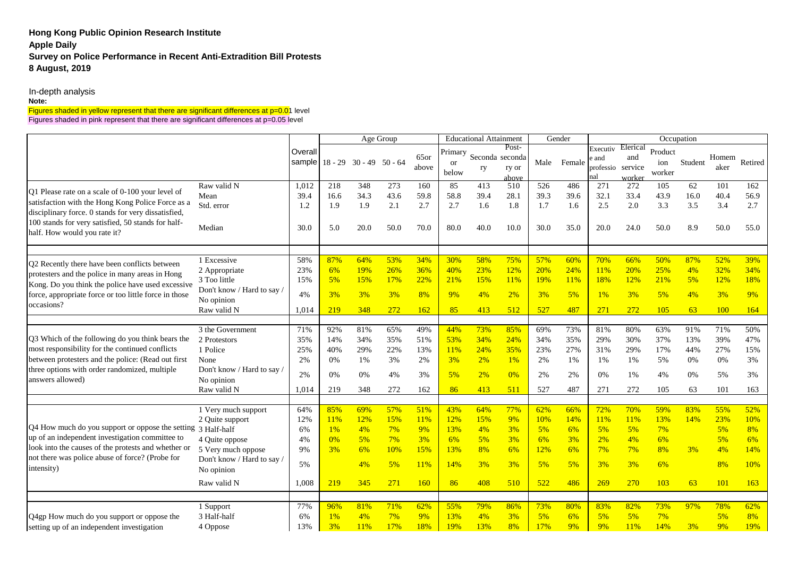# **Hong Kong Public Opinion Research Institute Apple Daily Survey on Police Performance in Recent Anti-Extradition Bill Protests 8 August, 2019**

In-depth analysis

## **Note:**

## Figures shaded in yellow represent that there are significant differences at p=0.01 level Figures shaded in pink represent that there are significant differences at p=0.05 level

|                                                                                                          |                                          |               | Age Group                      |             |             |               | <b>Educational Attainment</b>     |             |                                            | Gender      |             | Occupation                     |                                      |                          |            |               |             |  |
|----------------------------------------------------------------------------------------------------------|------------------------------------------|---------------|--------------------------------|-------------|-------------|---------------|-----------------------------------|-------------|--------------------------------------------|-------------|-------------|--------------------------------|--------------------------------------|--------------------------|------------|---------------|-------------|--|
|                                                                                                          |                                          | Overall       | sample 18 - 29 30 - 49 50 - 64 |             |             | 65or<br>above | Primary<br><sub>or</sub><br>below | ry          | Post-<br>Seconda seconda<br>ry or<br>above | Male        | Female      | Executiv<br>e and<br>professio | Elerical<br>and<br>service<br>worker | Product<br>ion<br>worker | Student    | Homem<br>aker | Retired     |  |
| Q1 Please rate on a scale of 0-100 your level of                                                         | Raw valid N<br>Mean                      | 1,012<br>39.4 | 218<br>16.6                    | 348<br>34.3 | 273<br>43.6 | 160<br>59.8   | 85<br>58.8                        | 413<br>39.4 | 510<br>28.1                                | 526<br>39.3 | 486<br>39.6 | 271<br>32.1                    | 272<br>33.4                          | 105<br>43.9              | 62<br>16.0 | 101<br>40.4   | 162<br>56.9 |  |
| satisfaction with the Hong Kong Police Force as a<br>disciplinary force. 0 stands for very dissatisfied, | Std. error                               | 1.2           | 1.9                            | 1.9         | 2.1         | 2.7           | 2.7                               | 1.6         | 1.8                                        | 1.7         | 1.6         | 2.5                            | 2.0                                  | 3.3                      | 3.5        | 3.4           | 2.7         |  |
| 100 stands for very satisfied, 50 stands for half-<br>half. How would you rate it?                       | Median                                   | 30.0          | 5.0                            | 20.0        | 50.0        | 70.0          | 80.0                              | 40.0        | 10.0                                       | 30.0        | 35.0        | 20.0                           | 24.0                                 | 50.0                     | 8.9        | 50.0          | 55.0        |  |
|                                                                                                          | 1 Excessive                              | 58%           | 87%                            | 64%         | 53%         | 34%           | 30%                               | 58%         | 75%                                        | 57%         | 60%         | 70%                            | 66%                                  | 50%                      | 87%        | 52%           | 39%         |  |
| Q2 Recently there have been conflicts between                                                            | 2 Appropriate                            | 23%           | 6%                             | 19%         | 26%         | 36%           | 40%                               | 23%         | 12%                                        | 20%         | 24%         | 11%                            | 20%                                  | 25%                      | 4%         | 32%           | 34%         |  |
| protesters and the police in many areas in Hong                                                          | 3 Too little                             | 15%           | 5%                             | 15%         | 17%         | 22%           | 21%                               | 15%         | 11%                                        | 19%         | 11%         | 18%                            | 12%                                  | 21%                      | 5%         | 12%           | 18%         |  |
| Kong. Do you think the police have used excessive                                                        | Don't know / Hard to say /               |               |                                |             |             |               |                                   |             |                                            |             |             |                                |                                      |                          |            |               |             |  |
| force, appropriate force or too little force in those                                                    | No opinion                               | 4%            | 3%                             | 3%          | 3%          | 8%            | 9%                                | 4%          | 2%                                         | 3%          | 5%          | 1%                             | 3%                                   | 5%                       | 4%         | 3%            | 9%          |  |
| occasions?                                                                                               | Raw valid N                              | 1,014         | 219                            | 348         | 272         | 162           | 85                                | 413         | 512                                        | 527         | 487         | 271                            | 272                                  | 105                      | 63         | 100           | 164         |  |
|                                                                                                          | 3 the Government                         | 71%           | 92%                            | 81%         | 65%         | 49%           | 44%                               | 73%         | 85%                                        | 69%         | 73%         | 81%                            | 80%                                  | 63%                      | 91%        | 71%           | 50%         |  |
| Q3 Which of the following do you think bears the                                                         | 2 Protestors                             | 35%           | 14%                            | 34%         | 35%         | 51%           | 53%                               | 34%         | 24%                                        | 34%         | 35%         | 29%                            | 30%                                  | 37%                      | 13%        | 39%           | 47%         |  |
| most responsibility for the continued conflicts                                                          | 1 Police                                 | 25%           | 40%                            | 29%         | 22%         | 13%           | 11%                               | 24%         | 35%                                        | 23%         | 27%         | 31%                            | 29%                                  | 17%                      | 44%        | 27%           | 15%         |  |
| between protesters and the police: (Read out first                                                       | None                                     | 2%            | 0%                             | 1%          | 3%          | 2%            | 3%                                | 2%          | 1%                                         | 2%          | 1%          | 1%                             | 1%                                   | 5%                       | 0%         | 0%            | 3%          |  |
| three options with order randomized, multiple<br>answers allowed)                                        | Don't know / Hard to say /<br>No opinion | 2%            | 0%                             | 0%          | 4%          | 3%            | 5%                                | 2%          | 0%                                         | 2%          | 2%          | 0%                             | $1\%$                                | 4%                       | 0%         | 5%            | 3%          |  |
|                                                                                                          | Raw valid N                              | 1,014         | 219                            | 348         | 272         | 162           | 86                                | 413         | 511                                        | 527         | 487         | 271                            | 272                                  | 105                      | 63         | 101           | 163         |  |
|                                                                                                          | 1 Very much support                      | 64%           | 85%                            | 69%         | 57%         | 51%           | 43%                               | 64%         | 77%                                        | 62%         | 66%         | 72%                            | 70%                                  | 59%                      | 83%        | 55%           | 52%         |  |
|                                                                                                          | 2 Quite support                          | 12%           | 11%                            | 12%         | 15%         | 11%           | 12%                               | 15%         | 9%                                         | 10%         | 14%         | 11%                            | 11%                                  | 13%                      | 14%        | 23%           | 10%         |  |
| Q4 How much do you support or oppose the setting 3 Half-half                                             |                                          | 6%            | 1%                             | 4%          | 7%          | 9%            | 13%                               | 4%          | 3%                                         | 5%          | 6%          | 5%                             | 5%                                   | 7%                       |            | 5%            | 8%          |  |
| up of an independent investigation committee to                                                          | 4 Quite oppose                           | 4%            | 0%                             | 5%          | 7%          | 3%            | 6%                                | 5%          | 3%                                         | 6%          | 3%          | 2%                             | 4%                                   | 6%                       |            | 5%            | 6%          |  |
| look into the causes of the protests and whether or                                                      | 5 Very much oppose                       | 9%            | 3%                             | 6%          | 10%         | 15%           | 13%                               | 8%          | 6%                                         | 12%         | 6%          | 7%                             | 7%                                   | 8%                       | 3%         | 4%            | 14%         |  |
| not there was police abuse of force? (Probe for<br>intensity)                                            | Don't know / Hard to say /<br>No opinion | 5%            |                                | 4%          | 5%          | 11%           | 14%                               | 3%          | 3%                                         | 5%          | 5%          | 3%                             | 3%                                   | 6%                       |            | 8%            | 10%         |  |
|                                                                                                          | Raw valid N                              | 1,008         | 219                            | 345         | 271         | 160           | 86                                | 408         | 510                                        | 522         | 486         | 269                            | 270                                  | 103                      | 63         | 101           | 163         |  |
|                                                                                                          |                                          |               |                                |             |             |               |                                   |             |                                            |             |             |                                |                                      |                          |            |               |             |  |
|                                                                                                          | 1 Support<br>3 Half-half                 | 77%<br>6%     | 96%<br>$1\%$                   | 81%<br>4%   | 71%<br>7%   | 62%<br>9%     | 55%<br>13%                        | 79%<br>4%   | 86%<br>3%                                  | 73%<br>5%   | 80%<br>6%   | 83%<br>5%                      | 82%<br>5%                            | 73%<br>7%                | 97%        | 78%<br>5%     | 62%<br>8%   |  |
| Q4gp How much do you support or oppose the<br>setting up of an independent investigation                 | 4 Oppose                                 | 13%           | 3%                             | 11%         | 17%         | 18%           | 19%                               | 13%         | 8%                                         | 17%         | 9%          | 9%                             | 11%                                  | 14%                      | 3%         | 9%            | 19%         |  |